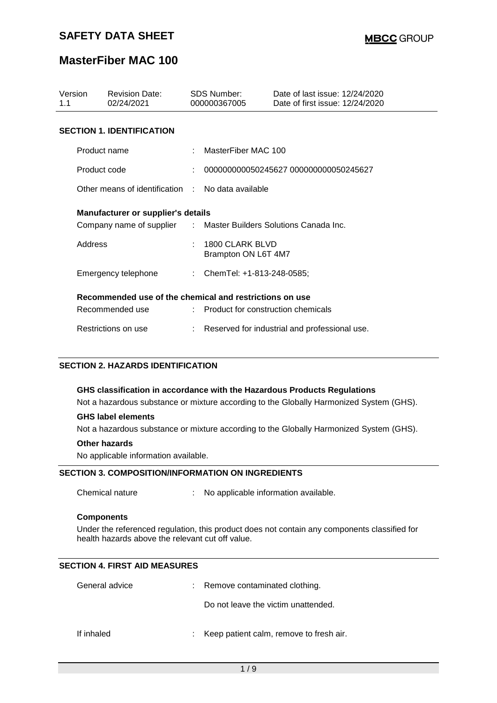### **MasterFiber MAC 100**

| Version<br>1.1                                          | <b>Revision Date:</b><br>02/24/2021                              | SDS Number:<br>000000367005 |                                               | Date of last issue: 12/24/2020<br>Date of first issue: 12/24/2020 |  |
|---------------------------------------------------------|------------------------------------------------------------------|-----------------------------|-----------------------------------------------|-------------------------------------------------------------------|--|
|                                                         | <b>SECTION 1. IDENTIFICATION</b>                                 |                             |                                               |                                                                   |  |
| Product name                                            |                                                                  |                             | MasterFiber MAC 100                           |                                                                   |  |
| Product code                                            |                                                                  |                             |                                               | 000000000050245627 000000000050245627                             |  |
|                                                         | Other means of identification . No data available                |                             |                                               |                                                                   |  |
| <b>Manufacturer or supplier's details</b>               |                                                                  |                             |                                               |                                                                   |  |
|                                                         | Company name of supplier : Master Builders Solutions Canada Inc. |                             |                                               |                                                                   |  |
| Address                                                 |                                                                  |                             | 1800 CLARK BLVD<br>Brampton ON L6T 4M7        |                                                                   |  |
|                                                         | Emergency telephone                                              |                             | : ChemTel: +1-813-248-0585;                   |                                                                   |  |
| Recommended use of the chemical and restrictions on use |                                                                  |                             |                                               |                                                                   |  |
|                                                         | Recommended use                                                  |                             | : Product for construction chemicals          |                                                                   |  |
|                                                         | Restrictions on use                                              |                             | Reserved for industrial and professional use. |                                                                   |  |

#### **SECTION 2. HAZARDS IDENTIFICATION**

#### **GHS classification in accordance with the Hazardous Products Regulations**

Not a hazardous substance or mixture according to the Globally Harmonized System (GHS).

#### **GHS label elements**

Not a hazardous substance or mixture according to the Globally Harmonized System (GHS).

#### **Other hazards**

No applicable information available.

#### **SECTION 3. COMPOSITION/INFORMATION ON INGREDIENTS**

Chemical nature : No applicable information available.

#### **Components**

Under the referenced regulation, this product does not contain any components classified for health hazards above the relevant cut off value.

#### **SECTION 4. FIRST AID MEASURES**

| General advice | : Remove contaminated clothing.           |
|----------------|-------------------------------------------|
|                | Do not leave the victim unattended.       |
| If inhaled     | : Keep patient calm, remove to fresh air. |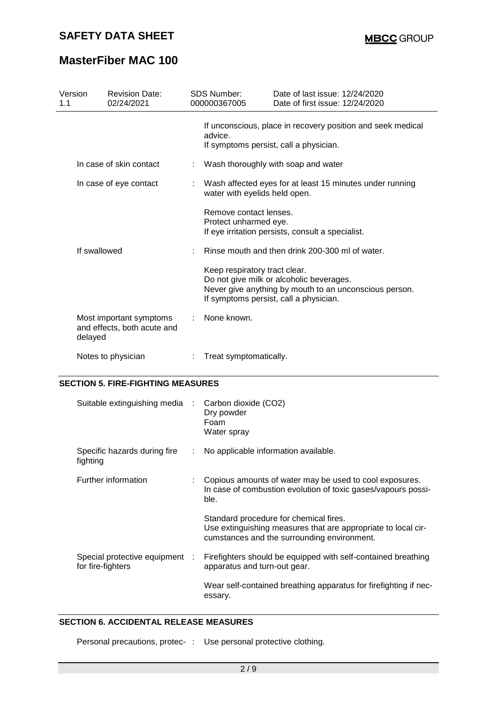## **MasterFiber MAC 100**

| Version<br>1.1          |              | <b>Revision Date:</b><br>02/24/2021                    | <b>SDS Number:</b><br>000000367005                       | Date of last issue: 12/24/2020<br>Date of first issue: 12/24/2020                                                                            |  |
|-------------------------|--------------|--------------------------------------------------------|----------------------------------------------------------|----------------------------------------------------------------------------------------------------------------------------------------------|--|
|                         |              |                                                        | advice.                                                  | If unconscious, place in recovery position and seek medical<br>If symptoms persist, call a physician.                                        |  |
| In case of skin contact |              | Wash thoroughly with soap and water                    |                                                          |                                                                                                                                              |  |
| In case of eye contact  |              | water with eyelids held open.                          | Wash affected eyes for at least 15 minutes under running |                                                                                                                                              |  |
|                         |              |                                                        | Remove contact lenses.<br>Protect unharmed eye.          | If eye irritation persists, consult a specialist.                                                                                            |  |
|                         | If swallowed |                                                        |                                                          | Rinse mouth and then drink 200-300 ml of water.                                                                                              |  |
|                         |              |                                                        | Keep respiratory tract clear.                            | Do not give milk or alcoholic beverages.<br>Never give anything by mouth to an unconscious person.<br>If symptoms persist, call a physician. |  |
|                         | delayed      | Most important symptoms<br>and effects, both acute and | None known.                                              |                                                                                                                                              |  |
|                         |              | Notes to physician                                     | Treat symptomatically.                                   |                                                                                                                                              |  |

### **SECTION 5. FIRE-FIGHTING MEASURES**

| Suitable extinguishing media :                      |    | Carbon dioxide (CO2)<br>Dry powder<br>Foam<br>Water spray                                                                                              |
|-----------------------------------------------------|----|--------------------------------------------------------------------------------------------------------------------------------------------------------|
| Specific hazards during fire<br>fighting            | ÷. | No applicable information available.                                                                                                                   |
| Further information                                 |    | : Copious amounts of water may be used to cool exposures.<br>In case of combustion evolution of toxic gases/vapours possi-<br>ble.                     |
|                                                     |    | Standard procedure for chemical fires.<br>Use extinguishing measures that are appropriate to local cir-<br>cumstances and the surrounding environment. |
| Special protective equipment :<br>for fire-fighters |    | Firefighters should be equipped with self-contained breathing<br>apparatus and turn-out gear.                                                          |
|                                                     |    | Wear self-contained breathing apparatus for firefighting if nec-<br>essary.                                                                            |

#### **SECTION 6. ACCIDENTAL RELEASE MEASURES**

Personal precautions, protec- : Use personal protective clothing.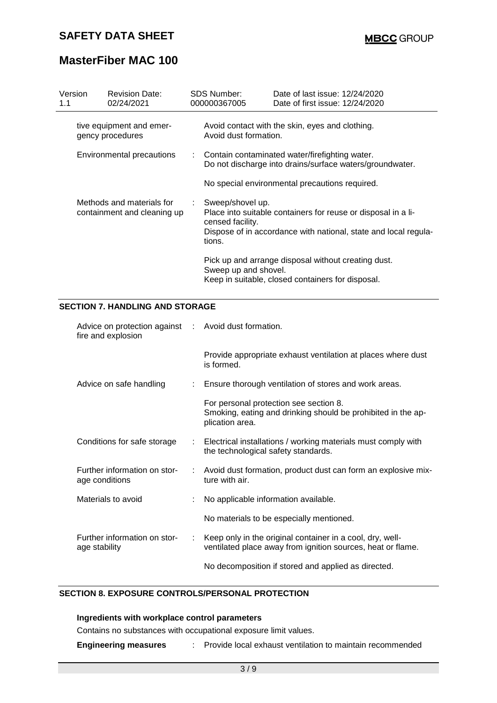# **MasterFiber MAC 100**

| Version<br>1.1 | <b>Revision Date:</b><br>02/24/2021                      | SDS Number:<br>000000367005                      | Date of last issue: 12/24/2020<br>Date of first issue: 12/24/2020                                                                |
|----------------|----------------------------------------------------------|--------------------------------------------------|----------------------------------------------------------------------------------------------------------------------------------|
|                | tive equipment and emer-<br>gency procedures             | Avoid dust formation.                            | Avoid contact with the skin, eyes and clothing.                                                                                  |
|                | Environmental precautions                                |                                                  | : Contain contaminated water/firefighting water.<br>Do not discharge into drains/surface waters/groundwater.                     |
|                |                                                          |                                                  | No special environmental precautions required.                                                                                   |
|                | Methods and materials for<br>containment and cleaning up | : Sweep/shovel up.<br>censed facility.<br>tions. | Place into suitable containers for reuse or disposal in a li-<br>Dispose of in accordance with national, state and local regula- |
|                |                                                          | Sweep up and shovel.                             | Pick up and arrange disposal without creating dust.<br>Keep in suitable, closed containers for disposal.                         |

### **SECTION 7. HANDLING AND STORAGE**

| Advice on protection against : Avoid dust formation.<br>fire and explosion |                           |                                                                                                                           |
|----------------------------------------------------------------------------|---------------------------|---------------------------------------------------------------------------------------------------------------------------|
|                                                                            |                           | Provide appropriate exhaust ventilation at places where dust<br>is formed.                                                |
| Advice on safe handling                                                    | $\mathbb{Z}^{\mathbb{Z}}$ | Ensure thorough ventilation of stores and work areas.                                                                     |
|                                                                            |                           | For personal protection see section 8.<br>Smoking, eating and drinking should be prohibited in the ap-<br>plication area. |
| Conditions for safe storage                                                |                           | : Electrical installations / working materials must comply with<br>the technological safety standards.                    |
| Further information on stor-<br>age conditions                             |                           | : Avoid dust formation, product dust can form an explosive mix-<br>ture with air.                                         |
| Materials to avoid                                                         |                           | No applicable information available.                                                                                      |
|                                                                            |                           | No materials to be especially mentioned.                                                                                  |
| Further information on stor-<br>age stability                              |                           | Keep only in the original container in a cool, dry, well-<br>ventilated place away from ignition sources, heat or flame.  |
|                                                                            |                           | No decomposition if stored and applied as directed.                                                                       |

#### **SECTION 8. EXPOSURE CONTROLS/PERSONAL PROTECTION**

#### **Ingredients with workplace control parameters**

Contains no substances with occupational exposure limit values.

**Engineering measures** : Provide local exhaust ventilation to maintain recommended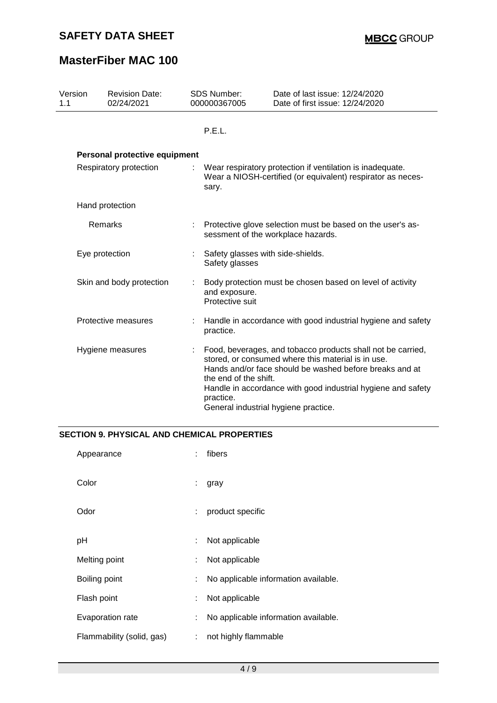# **MasterFiber MAC 100**

| Version<br>1.1         | <b>Revision Date:</b><br>02/24/2021 | <b>SDS Number:</b><br>000000367005                                                                                                | Date of last issue: 12/24/2020<br>Date of first issue: 12/24/2020                                                                                                                                                                                                                    |
|------------------------|-------------------------------------|-----------------------------------------------------------------------------------------------------------------------------------|--------------------------------------------------------------------------------------------------------------------------------------------------------------------------------------------------------------------------------------------------------------------------------------|
|                        |                                     | P.E.L.                                                                                                                            |                                                                                                                                                                                                                                                                                      |
|                        | Personal protective equipment       |                                                                                                                                   |                                                                                                                                                                                                                                                                                      |
| Respiratory protection |                                     | Wear respiratory protection if ventilation is inadequate.<br>Wear a NIOSH-certified (or equivalent) respirator as neces-<br>sary. |                                                                                                                                                                                                                                                                                      |
|                        | Hand protection                     |                                                                                                                                   |                                                                                                                                                                                                                                                                                      |
|                        | Remarks                             |                                                                                                                                   | Protective glove selection must be based on the user's as-<br>sessment of the workplace hazards.                                                                                                                                                                                     |
|                        | Eye protection                      | Safety glasses with side-shields.<br>Safety glasses                                                                               |                                                                                                                                                                                                                                                                                      |
|                        | Skin and body protection            | and exposure.<br>Protective suit                                                                                                  | Body protection must be chosen based on level of activity                                                                                                                                                                                                                            |
|                        | Protective measures                 | practice.                                                                                                                         | Handle in accordance with good industrial hygiene and safety                                                                                                                                                                                                                         |
|                        | Hygiene measures                    | the end of the shift.<br>practice.                                                                                                | Food, beverages, and tobacco products shall not be carried,<br>stored, or consumed where this material is in use.<br>Hands and/or face should be washed before breaks and at<br>Handle in accordance with good industrial hygiene and safety<br>General industrial hygiene practice. |

#### **SECTION 9. PHYSICAL AND CHEMICAL PROPERTIES**

| Appearance                |   | fibers                               |
|---------------------------|---|--------------------------------------|
| Color                     | ÷ | gray                                 |
| Odor                      | ÷ | product specific                     |
| рH                        | ÷ | Not applicable                       |
| Melting point             | ÷ | Not applicable                       |
| Boiling point             |   | No applicable information available. |
| Flash point               | t | Not applicable                       |
| Evaporation rate          | : | No applicable information available. |
| Flammability (solid, gas) | ÷ | not highly flammable                 |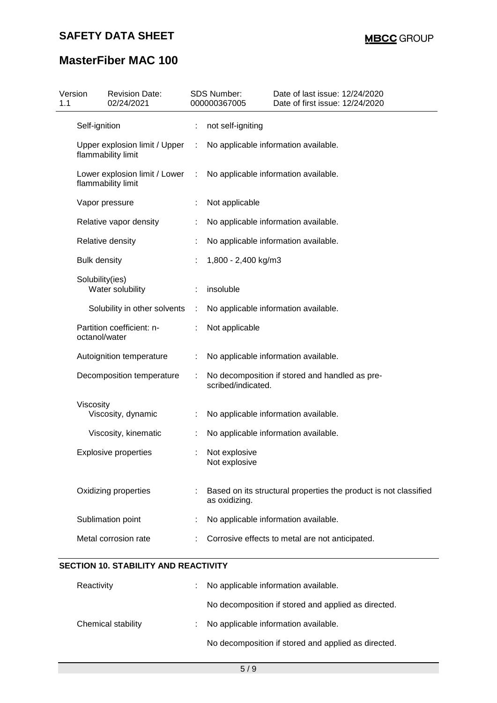# **MasterFiber MAC 100**

| Version<br>1.1 | <b>Revision Date:</b><br>02/24/2021                 |   | <b>SDS Number:</b><br>000000367005                                   | Date of last issue: 12/24/2020<br>Date of first issue: 12/24/2020 |  |
|----------------|-----------------------------------------------------|---|----------------------------------------------------------------------|-------------------------------------------------------------------|--|
|                | Self-ignition                                       |   | not self-igniting                                                    |                                                                   |  |
|                | Upper explosion limit / Upper<br>flammability limit |   |                                                                      | No applicable information available.                              |  |
|                | Lower explosion limit / Lower<br>flammability limit | ÷ | No applicable information available.                                 |                                                                   |  |
|                | Vapor pressure                                      |   | Not applicable                                                       |                                                                   |  |
|                | Relative vapor density                              |   |                                                                      | No applicable information available.                              |  |
|                | Relative density                                    |   |                                                                      | No applicable information available.                              |  |
|                | <b>Bulk density</b>                                 |   | 1,800 - 2,400 kg/m3                                                  |                                                                   |  |
|                | Solubility(ies)<br>Water solubility                 |   | insoluble                                                            |                                                                   |  |
|                | Solubility in other solvents                        | ÷ |                                                                      | No applicable information available.                              |  |
|                | Partition coefficient: n-<br>octanol/water          |   | Not applicable                                                       |                                                                   |  |
|                | Autoignition temperature                            | ÷ | No applicable information available.                                 |                                                                   |  |
|                | Decomposition temperature                           |   | No decomposition if stored and handled as pre-<br>scribed/indicated. |                                                                   |  |
|                | Viscosity<br>Viscosity, dynamic                     |   |                                                                      | No applicable information available.                              |  |
|                | Viscosity, kinematic                                |   |                                                                      | No applicable information available.                              |  |
|                | <b>Explosive properties</b>                         |   | Not explosive<br>Not explosive                                       |                                                                   |  |
|                | Oxidizing properties                                |   | as oxidizing.                                                        | Based on its structural properties the product is not classified  |  |
|                | Sublimation point                                   |   |                                                                      | No applicable information available.                              |  |
|                | Metal corrosion rate                                |   |                                                                      | Corrosive effects to metal are not anticipated.                   |  |

| Reactivity         | t. | No applicable information available.                |
|--------------------|----|-----------------------------------------------------|
|                    |    | No decomposition if stored and applied as directed. |
| Chemical stability | t. | No applicable information available.                |
|                    |    | No decomposition if stored and applied as directed. |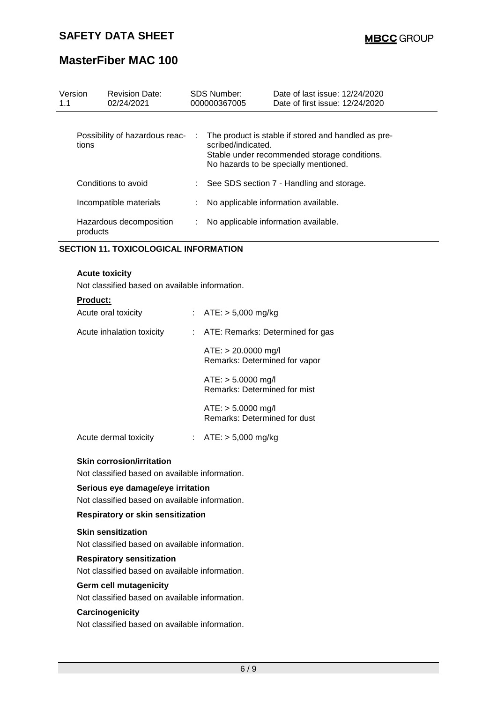## **MasterFiber MAC 100**

| Version<br>1.1 | <b>Revision Date:</b><br>02/24/2021 |    | <b>SDS Number:</b><br>000000367005 | Date of last issue: 12/24/2020<br>Date of first issue: 12/24/2020                                                                            |
|----------------|-------------------------------------|----|------------------------------------|----------------------------------------------------------------------------------------------------------------------------------------------|
| tions          | Possibility of hazardous reac-      | ÷  | scribed/indicated.                 | The product is stable if stored and handled as pre-<br>Stable under recommended storage conditions.<br>No hazards to be specially mentioned. |
|                | Conditions to avoid                 | t. |                                    | See SDS section 7 - Handling and storage.                                                                                                    |
|                | Incompatible materials              |    |                                    | No applicable information available.                                                                                                         |
| products       | Hazardous decomposition             |    |                                    | No applicable information available.                                                                                                         |

#### **SECTION 11. TOXICOLOGICAL INFORMATION**

#### **Acute toxicity**

Not classified based on available information.

| <b>Product:</b>           |                                                        |
|---------------------------|--------------------------------------------------------|
| Acute oral toxicity       | : $ATE: > 5,000 \text{ mg/kg}$                         |
| Acute inhalation toxicity | : ATE: Remarks: Determined for gas                     |
|                           | $ATE: > 20.0000$ mg/l<br>Remarks: Determined for vapor |
|                           | $ATE: > 5.0000$ mg/l<br>Remarks: Determined for mist   |
|                           | $ATE: > 5.0000$ mg/l<br>Remarks: Determined for dust   |
| Acute dermal toxicity     | : $ATE: > 5,000 \text{ mg/kg}$                         |

# **Skin corrosion/irritation**

Not classified based on available information.

### **Serious eye damage/eye irritation**

Not classified based on available information.

#### **Respiratory or skin sensitization**

#### **Skin sensitization**

Not classified based on available information.

#### **Respiratory sensitization**

Not classified based on available information.

#### **Germ cell mutagenicity**

Not classified based on available information.

#### **Carcinogenicity**

Not classified based on available information.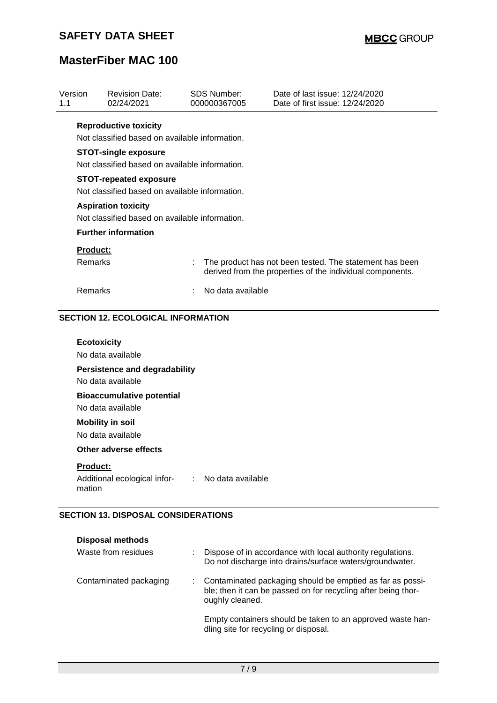# **MasterFiber MAC 100**

| 02/24/2021                   |        | 000000367005                  | Date of first issue: 12/24/2020                                                                                                                                                                                           |
|------------------------------|--------|-------------------------------|---------------------------------------------------------------------------------------------------------------------------------------------------------------------------------------------------------------------------|
| <b>Reproductive toxicity</b> |        |                               |                                                                                                                                                                                                                           |
|                              |        |                               |                                                                                                                                                                                                                           |
| <b>STOT-single exposure</b>  |        |                               |                                                                                                                                                                                                                           |
|                              |        |                               |                                                                                                                                                                                                                           |
|                              |        |                               |                                                                                                                                                                                                                           |
| <b>Aspiration toxicity</b>   |        |                               |                                                                                                                                                                                                                           |
| <b>Further information</b>   |        |                               |                                                                                                                                                                                                                           |
| <b>Product:</b>              |        |                               |                                                                                                                                                                                                                           |
| Remarks                      |        |                               | The product has not been tested. The statement has been<br>derived from the properties of the individual components.                                                                                                      |
| Remarks                      | $\sim$ |                               |                                                                                                                                                                                                                           |
|                              |        | <b>STOT-repeated exposure</b> | Not classified based on available information.<br>Not classified based on available information.<br>Not classified based on available information.<br>Not classified based on available information.<br>No data available |

#### **SECTION 12. ECOLOGICAL INFORMATION**

| <b>Ecotoxicity</b><br>No data available                                       |  |
|-------------------------------------------------------------------------------|--|
| Persistence and degradability<br>No data available                            |  |
| <b>Bioaccumulative potential</b><br>No data available                         |  |
| <b>Mobility in soil</b><br>No data available                                  |  |
| Other adverse effects                                                         |  |
| <b>Product:</b><br>Additional ecological infor- : No data available<br>mation |  |

#### **SECTION 13. DISPOSAL CONSIDERATIONS**

| <b>Disposal methods</b> |  |                                                                                                                                               |
|-------------------------|--|-----------------------------------------------------------------------------------------------------------------------------------------------|
| Waste from residues     |  | Dispose of in accordance with local authority regulations.<br>Do not discharge into drains/surface waters/groundwater.                        |
| Contaminated packaging  |  | Contaminated packaging should be emptied as far as possi-<br>ble; then it can be passed on for recycling after being thor-<br>oughly cleaned. |
|                         |  | Empty containers should be taken to an approved waste han-<br>dling site for recycling or disposal.                                           |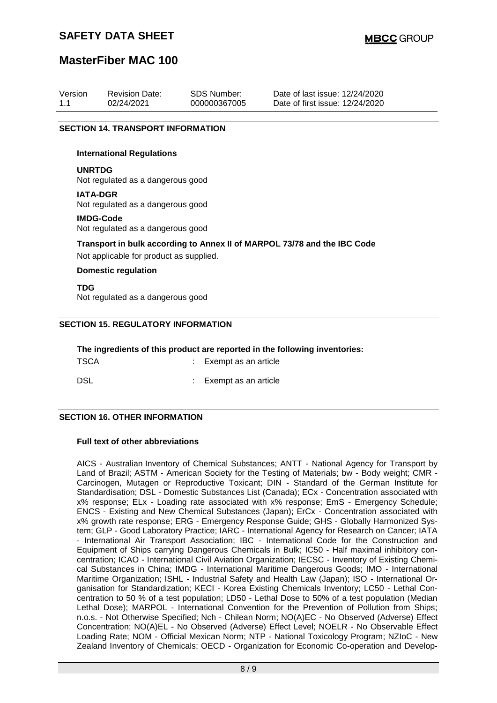### **MasterFiber MAC 100**

| Version | <b>Revision Date:</b> | SDS Number:  | Date of last issue: 12/24/2020  |
|---------|-----------------------|--------------|---------------------------------|
| 11      | 02/24/2021            | 000000367005 | Date of first issue: 12/24/2020 |

#### **SECTION 14. TRANSPORT INFORMATION**

#### **International Regulations**

#### **UNRTDG**

Not regulated as a dangerous good

#### **IATA-DGR**

Not regulated as a dangerous good

#### **IMDG-Code**

Not regulated as a dangerous good

#### **Transport in bulk according to Annex II of MARPOL 73/78 and the IBC Code**

Not applicable for product as supplied.

#### **Domestic regulation**

**TDG** Not regulated as a dangerous good

#### **SECTION 15. REGULATORY INFORMATION**

| The ingredients of this product are reported in the following inventories: |  |                        |  |  |
|----------------------------------------------------------------------------|--|------------------------|--|--|
| TSCA                                                                       |  | : Exempt as an article |  |  |
| DSL                                                                        |  | : Exempt as an article |  |  |

#### **SECTION 16. OTHER INFORMATION**

#### **Full text of other abbreviations**

AICS - Australian Inventory of Chemical Substances; ANTT - National Agency for Transport by Land of Brazil; ASTM - American Society for the Testing of Materials; bw - Body weight; CMR - Carcinogen, Mutagen or Reproductive Toxicant; DIN - Standard of the German Institute for Standardisation; DSL - Domestic Substances List (Canada); ECx - Concentration associated with x% response; ELx - Loading rate associated with x% response; EmS - Emergency Schedule; ENCS - Existing and New Chemical Substances (Japan); ErCx - Concentration associated with x% growth rate response; ERG - Emergency Response Guide; GHS - Globally Harmonized System; GLP - Good Laboratory Practice; IARC - International Agency for Research on Cancer; IATA - International Air Transport Association; IBC - International Code for the Construction and Equipment of Ships carrying Dangerous Chemicals in Bulk; IC50 - Half maximal inhibitory concentration; ICAO - International Civil Aviation Organization; IECSC - Inventory of Existing Chemical Substances in China; IMDG - International Maritime Dangerous Goods; IMO - International Maritime Organization; ISHL - Industrial Safety and Health Law (Japan); ISO - International Organisation for Standardization; KECI - Korea Existing Chemicals Inventory; LC50 - Lethal Concentration to 50 % of a test population; LD50 - Lethal Dose to 50% of a test population (Median Lethal Dose); MARPOL - International Convention for the Prevention of Pollution from Ships; n.o.s. - Not Otherwise Specified; Nch - Chilean Norm; NO(A)EC - No Observed (Adverse) Effect Concentration; NO(A)EL - No Observed (Adverse) Effect Level; NOELR - No Observable Effect Loading Rate; NOM - Official Mexican Norm; NTP - National Toxicology Program; NZIoC - New Zealand Inventory of Chemicals; OECD - Organization for Economic Co-operation and Develop-